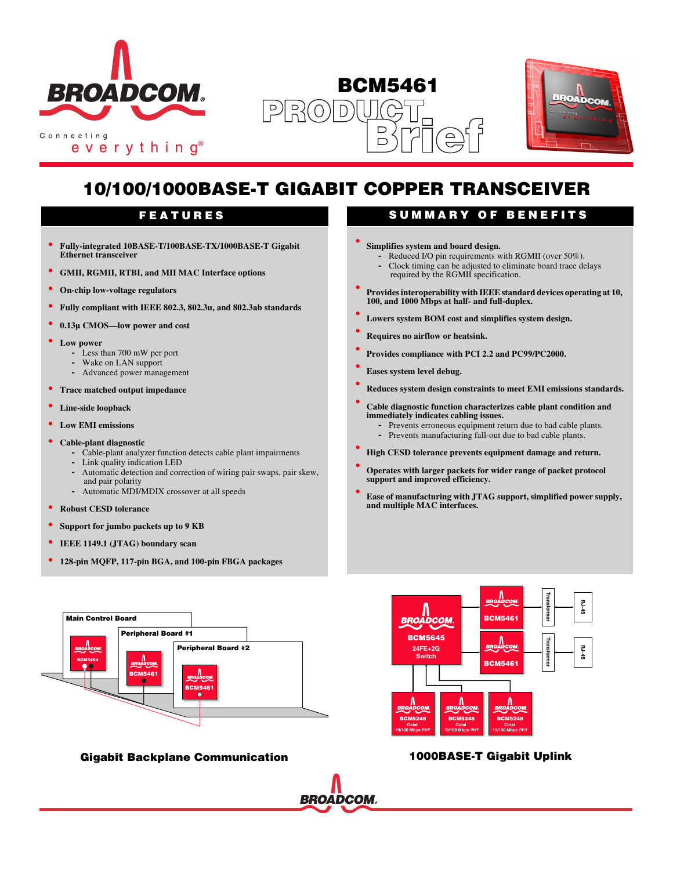

**BCM5461**  $P(R(0)$  $\overline{D}$  $\Box$ 



## **10/100/1000BASE-T GIGABIT COPPER TRANSCEIVER**

- **• Fully-integrated 10BASE-T/100BASE-TX/1000BASE-T Gigabit Ethernet transceiver**
- **• GMII, RGMII, RTBI, and MII MAC Interface options**
- **• On-chip low-voltage regulators**
- **• Fully compliant with IEEE 802.3, 802.3u, and 802.3ab standards**
- **• 0.13µ CMOS—low power and cost**
- **• Low power**
	- Less than 700 mW per port
		- Wake on LAN support
	- Advanced power management
- **• Trace matched output impedance**
- **• Line-side loopback**
- **• Low EMI emissions**
- **• Cable-plant diagnostic**
	- Cable-plant analyzer function detects cable plant impairments
	- Link quality indication LED **-** Automatic detection and correction of wiring pair swaps, pair skew, and pair polarity
	- Automatic MDI/MDIX crossover at all speeds
- **• Robust CESD tolerance**
- **• Support for jumbo packets up to 9 KB**
- **• IEEE 1149.1 (JTAG) boundary scan**
- **• 128-pin MQFP, 117-pin BGA, and 100-pin FBGA packages**

# **FEATURES SUMMARY OF BENEFITS**

- **• Simplifies system and board design.**
	- Reduced I/O pin requirements with RGMII (over 50%).
	- Clock timing can be adjusted to eliminate board trace delays required by the RGMII specification.
- **• Provides interoperability with IEEE standard devices operating at 10, 100, and 1000 Mbps at half- and full-duplex.**
- **• Lowers system BOM cost and simplifies system design.**
- **• Requires no airflow or heatsink.**
- **• Provides compliance with PCI 2.2 and PC99/PC2000.**
- **• Eases system level debug.**
- **• Reduces system design constraints to meet EMI emissions standards.**
- **• Cable diagnostic function characterizes cable plant condition and immediately indicates cabling issues.**
	- Prevents erroneous equipment return due to bad cable plants. **-** Prevents manufacturing fall-out due to bad cable plants.
- **• High CESD tolerance prevents equipment damage and return.**
- **• Operates with larger packets for wider range of packet protocol support and improved efficiency.**
- **• Ease of manufacturing with JTAG support, simplified power supply, and multiple MAC interfaces.**





**Gigabit Backplane Communication**